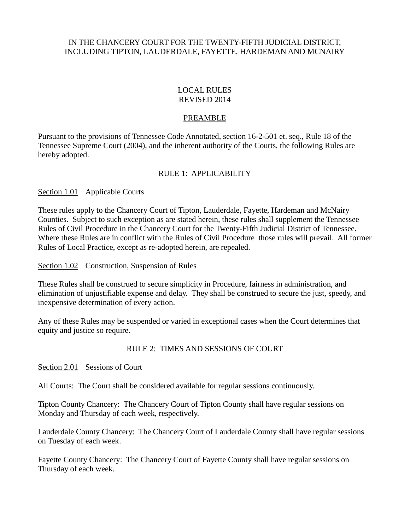## IN THE CHANCERY COURT FOR THE TWENTY-FIFTH JUDICIAL DISTRICT, INCLUDING TIPTON, LAUDERDALE, FAYETTE, HARDEMAN AND MCNAIRY

### LOCAL RULES REVISED 2014

### PREAMBLE

Pursuant to the provisions of Tennessee Code Annotated, section 16-2-501 et. seq., Rule 18 of the Tennessee Supreme Court (2004), and the inherent authority of the Courts, the following Rules are hereby adopted.

# RULE 1: APPLICABILITY

Section 1.01 Applicable Courts

These rules apply to the Chancery Court of Tipton, Lauderdale, Fayette, Hardeman and McNairy Counties. Subject to such exception as are stated herein, these rules shall supplement the Tennessee Rules of Civil Procedure in the Chancery Court for the Twenty-Fifth Judicial District of Tennessee. Where these Rules are in conflict with the Rules of Civil Procedure those rules will prevail. All former Rules of Local Practice, except as re-adopted herein, are repealed.

Section 1.02 Construction, Suspension of Rules

These Rules shall be construed to secure simplicity in Procedure, fairness in administration, and elimination of unjustifiable expense and delay. They shall be construed to secure the just, speedy, and inexpensive determination of every action.

Any of these Rules may be suspended or varied in exceptional cases when the Court determines that equity and justice so require.

### RULE 2: TIMES AND SESSIONS OF COURT

Section 2.01 Sessions of Court

All Courts: The Court shall be considered available for regular sessions continuously.

Tipton County Chancery: The Chancery Court of Tipton County shall have regular sessions on Monday and Thursday of each week, respectively.

Lauderdale County Chancery: The Chancery Court of Lauderdale County shall have regular sessions on Tuesday of each week.

Fayette County Chancery: The Chancery Court of Fayette County shall have regular sessions on Thursday of each week.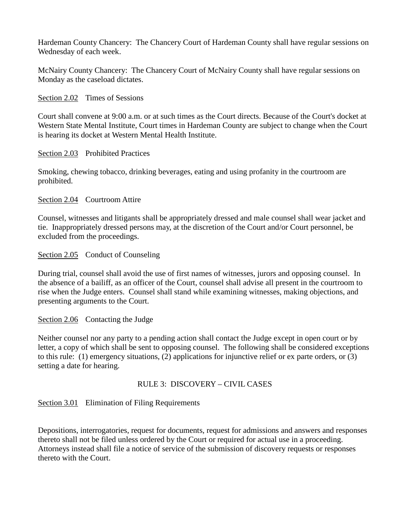Hardeman County Chancery: The Chancery Court of Hardeman County shall have regular sessions on Wednesday of each week.

McNairy County Chancery: The Chancery Court of McNairy County shall have regular sessions on Monday as the caseload dictates.

Section 2.02 Times of Sessions

Court shall convene at 9:00 a.m. or at such times as the Court directs. Because of the Court's docket at Western State Mental Institute, Court times in Hardeman County are subject to change when the Court is hearing its docket at Western Mental Health Institute.

Section 2.03 Prohibited Practices

Smoking, chewing tobacco, drinking beverages, eating and using profanity in the courtroom are prohibited.

Section 2.04 Courtroom Attire

Counsel, witnesses and litigants shall be appropriately dressed and male counsel shall wear jacket and tie. Inappropriately dressed persons may, at the discretion of the Court and/or Court personnel, be excluded from the proceedings.

Section 2.05 Conduct of Counseling

During trial, counsel shall avoid the use of first names of witnesses, jurors and opposing counsel. In the absence of a bailiff, as an officer of the Court, counsel shall advise all present in the courtroom to rise when the Judge enters. Counsel shall stand while examining witnesses, making objections, and presenting arguments to the Court.

Section 2.06 Contacting the Judge

Neither counsel nor any party to a pending action shall contact the Judge except in open court or by letter, a copy of which shall be sent to opposing counsel. The following shall be considered exceptions to this rule: (1) emergency situations, (2) applications for injunctive relief or ex parte orders, or (3) setting a date for hearing.

### RULE 3: DISCOVERY – CIVIL CASES

Section 3.01 Elimination of Filing Requirements

Depositions, interrogatories, request for documents, request for admissions and answers and responses thereto shall not be filed unless ordered by the Court or required for actual use in a proceeding. Attorneys instead shall file a notice of service of the submission of discovery requests or responses thereto with the Court.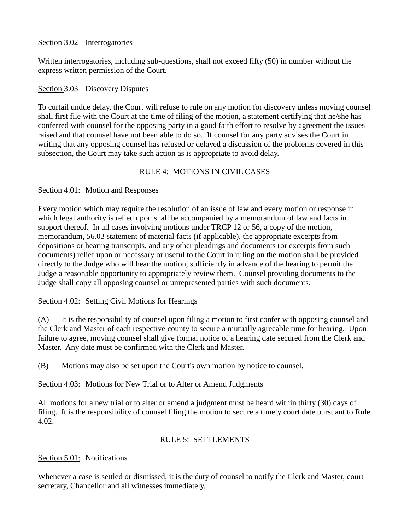# Section 3.02 Interrogatories

Written interrogatories, including sub-questions, shall not exceed fifty (50) in number without the express written permission of the Court.

## Section 3.03 Discovery Disputes

To curtail undue delay, the Court will refuse to rule on any motion for discovery unless moving counsel shall first file with the Court at the time of filing of the motion, a statement certifying that he/she has conferred with counsel for the opposing party in a good faith effort to resolve by agreement the issues raised and that counsel have not been able to do so. If counsel for any party advises the Court in writing that any opposing counsel has refused or delayed a discussion of the problems covered in this subsection, the Court may take such action as is appropriate to avoid delay.

# RULE 4: MOTIONS IN CIVIL CASES

# Section 4.01: Motion and Responses

Every motion which may require the resolution of an issue of law and every motion or response in which legal authority is relied upon shall be accompanied by a memorandum of law and facts in support thereof. In all cases involving motions under TRCP 12 or 56, a copy of the motion, memorandum, 56.03 statement of material facts (if applicable), the appropriate excerpts from depositions or hearing transcripts, and any other pleadings and documents (or excerpts from such documents) relief upon or necessary or useful to the Court in ruling on the motion shall be provided directly to the Judge who will hear the motion, sufficiently in advance of the hearing to permit the Judge a reasonable opportunity to appropriately review them. Counsel providing documents to the Judge shall copy all opposing counsel or unrepresented parties with such documents.

# Section 4.02: Setting Civil Motions for Hearings

(A) It is the responsibility of counsel upon filing a motion to first confer with opposing counsel and the Clerk and Master of each respective county to secure a mutually agreeable time for hearing. Upon failure to agree, moving counsel shall give formal notice of a hearing date secured from the Clerk and Master. Any date must be confirmed with the Clerk and Master.

(B) Motions may also be set upon the Court's own motion by notice to counsel.

Section 4.03: Motions for New Trial or to Alter or Amend Judgments

All motions for a new trial or to alter or amend a judgment must be heard within thirty (30) days of filing. It is the responsibility of counsel filing the motion to secure a timely court date pursuant to Rule 4.02.

# RULE 5: SETTLEMENTS

# Section 5.01: Notifications

Whenever a case is settled or dismissed, it is the duty of counsel to notify the Clerk and Master, court secretary, Chancellor and all witnesses immediately.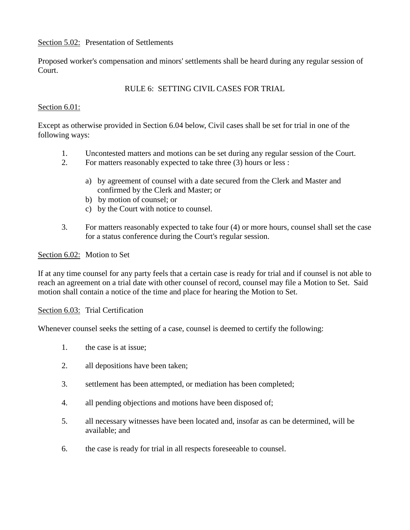## Section 5.02: Presentation of Settlements

Proposed worker's compensation and minors' settlements shall be heard during any regular session of Court.

# RULE 6: SETTING CIVIL CASES FOR TRIAL

### Section 6.01:

Except as otherwise provided in Section 6.04 below, Civil cases shall be set for trial in one of the following ways:

- 1. Uncontested matters and motions can be set during any regular session of the Court.<br>2. For matters reasonably expected to take three (3) hours or less :
	- 2. For matters reasonably expected to take three (3) hours or less :
		- a) by agreement of counsel with a date secured from the Clerk and Master and confirmed by the Clerk and Master; or
		- b) by motion of counsel; or
		- c) by the Court with notice to counsel.
- 3. For matters reasonably expected to take four (4) or more hours, counsel shall set the case for a status conference during the Court's regular session.

### Section 6.02: Motion to Set

If at any time counsel for any party feels that a certain case is ready for trial and if counsel is not able to reach an agreement on a trial date with other counsel of record, counsel may file a Motion to Set. Said motion shall contain a notice of the time and place for hearing the Motion to Set.

Section 6.03: Trial Certification

Whenever counsel seeks the setting of a case, counsel is deemed to certify the following:

- 1. the case is at issue;
- 2. all depositions have been taken;
- 3. settlement has been attempted, or mediation has been completed;
- 4. all pending objections and motions have been disposed of;
- 5. all necessary witnesses have been located and, insofar as can be determined, will be available; and
- 6. the case is ready for trial in all respects foreseeable to counsel.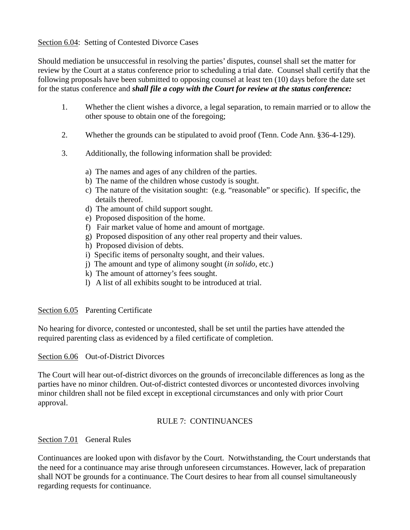## Section 6.04: Setting of Contested Divorce Cases

Should mediation be unsuccessful in resolving the parties' disputes, counsel shall set the matter for review by the Court at a status conference prior to scheduling a trial date. Counsel shall certify that the following proposals have been submitted to opposing counsel at least ten (10) days before the date set for the status conference and *shall file a copy with the Court for review at the status conference:*

- 1. Whether the client wishes a divorce, a legal separation, to remain married or to allow the other spouse to obtain one of the foregoing;
- 2. Whether the grounds can be stipulated to avoid proof (Tenn. Code Ann. §36-4-129).
- 3. Additionally, the following information shall be provided:
	- a) The names and ages of any children of the parties.
	- b) The name of the children whose custody is sought.
	- c) The nature of the visitation sought: (e.g. "reasonable" or specific). If specific, the details thereof.
	- d) The amount of child support sought.
	- e) Proposed disposition of the home.
	- f) Fair market value of home and amount of mortgage.
	- g) Proposed disposition of any other real property and their values.
	- h) Proposed division of debts.
	- i) Specific items of personalty sought, and their values.
	- j) The amount and type of alimony sought (*in solido,* etc.)
	- k) The amount of attorney's fees sought.
	- l) A list of all exhibits sought to be introduced at trial.

### Section 6.05 Parenting Certificate

No hearing for divorce, contested or uncontested, shall be set until the parties have attended the required parenting class as evidenced by a filed certificate of completion.

### Section 6.06 Out-of-District Divorces

The Court will hear out-of-district divorces on the grounds of irreconcilable differences as long as the parties have no minor children. Out-of-district contested divorces or uncontested divorces involving minor children shall not be filed except in exceptional circumstances and only with prior Court approval.

# RULE 7: CONTINUANCES

### Section 7.01 General Rules

Continuances are looked upon with disfavor by the Court. Notwithstanding, the Court understands that the need for a continuance may arise through unforeseen circumstances. However, lack of preparation shall NOT be grounds for a continuance. The Court desires to hear from all counsel simultaneously regarding requests for continuance.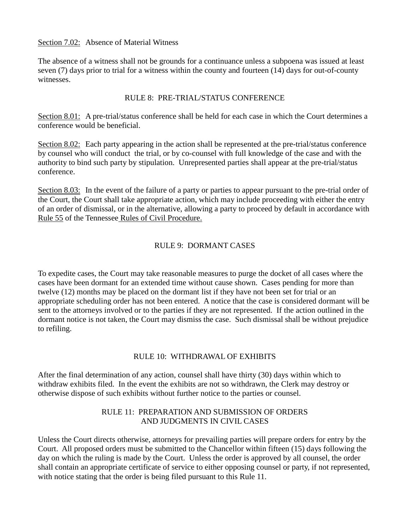### Section 7.02: Absence of Material Witness

The absence of a witness shall not be grounds for a continuance unless a subpoena was issued at least seven (7) days prior to trial for a witness within the county and fourteen (14) days for out-of-county witnesses.

### RULE 8: PRE-TRIAL/STATUS CONFERENCE

Section 8.01: A pre-trial/status conference shall be held for each case in which the Court determines a conference would be beneficial.

Section 8.02: Each party appearing in the action shall be represented at the pre-trial/status conference by counsel who will conduct the trial, or by co-counsel with full knowledge of the case and with the authority to bind such party by stipulation. Unrepresented parties shall appear at the pre-trial/status conference.

Section 8.03: In the event of the failure of a party or parties to appear pursuant to the pre-trial order of the Court, the Court shall take appropriate action, which may include proceeding with either the entry of an order of dismissal, or in the alternative, allowing a party to proceed by default in accordance with Rule 55 of the Tennessee Rules of Civil Procedure.

## RULE 9: DORMANT CASES

To expedite cases, the Court may take reasonable measures to purge the docket of all cases where the cases have been dormant for an extended time without cause shown. Cases pending for more than twelve (12) months may be placed on the dormant list if they have not been set for trial or an appropriate scheduling order has not been entered. A notice that the case is considered dormant will be sent to the attorneys involved or to the parties if they are not represented. If the action outlined in the dormant notice is not taken, the Court may dismiss the case. Such dismissal shall be without prejudice to refiling.

### RULE 10: WITHDRAWAL OF EXHIBITS

After the final determination of any action, counsel shall have thirty (30) days within which to withdraw exhibits filed. In the event the exhibits are not so withdrawn, the Clerk may destroy or otherwise dispose of such exhibits without further notice to the parties or counsel.

## RULE 11: PREPARATION AND SUBMISSION OF ORDERS AND JUDGMENTS IN CIVIL CASES

Unless the Court directs otherwise, attorneys for prevailing parties will prepare orders for entry by the Court. All proposed orders must be submitted to the Chancellor within fifteen (15) days following the day on which the ruling is made by the Court. Unless the order is approved by all counsel, the order shall contain an appropriate certificate of service to either opposing counsel or party, if not represented, with notice stating that the order is being filed pursuant to this Rule 11.